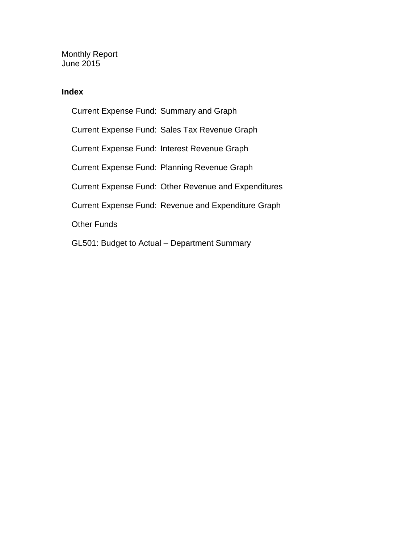Monthly Report June 2015

#### **Index**

Current Expense Fund: Summary and Graph Current Expense Fund: Sales Tax Revenue Graph Current Expense Fund: Interest Revenue Graph Current Expense Fund: Planning Revenue Graph Current Expense Fund: Other Revenue and Expenditures Current Expense Fund: Revenue and Expenditure Graph Other Funds GL501: Budget to Actual – Department Summary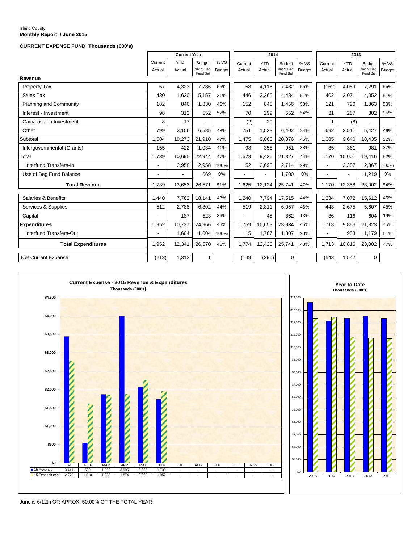#### Island County **Monthly Report / June 2015**

#### **CURRENT EXPENSE FUND Thousands (000's)**

|                            |                   | <b>Current Year</b>      |                                          |                      |                          | 2014                     |                                          |                       |                          | 2013                 |                                          |                      |
|----------------------------|-------------------|--------------------------|------------------------------------------|----------------------|--------------------------|--------------------------|------------------------------------------|-----------------------|--------------------------|----------------------|------------------------------------------|----------------------|
|                            | Current<br>Actual | <b>YTD</b><br>Actual     | <b>Budget</b><br>Net of Beg.<br>Fund Bal | %VS<br><b>Budget</b> | Current<br>Actual        | <b>YTD</b><br>Actual     | <b>Budget</b><br>Net of Beg.<br>Fund Bal | % VS<br><b>Budget</b> | Current<br>Actual        | <b>YTD</b><br>Actual | <b>Budget</b><br>Net of Beg.<br>Fund Bal | %VS<br><b>Budget</b> |
| Revenue                    |                   |                          |                                          |                      |                          |                          |                                          |                       |                          |                      |                                          |                      |
| Property Tax               | 67                | 4,323                    | 7,786                                    | 56%                  | 58                       | 4,116                    | 7,482                                    | 55%                   | (162)                    | 4.059                | 7,291                                    | 56%                  |
| Sales Tax                  | 430               | 1,620                    | 5,157                                    | 31%                  | 446                      | 2,265                    | 4,484                                    | 51%                   | 402                      | 2,071                | 4,052                                    | 51%                  |
| Planning and Community     | 182               | 846                      | 1,830                                    | 46%                  | 152                      | 845                      | 1,456                                    | 58%                   | 121                      | 720                  | 1,363                                    | 53%                  |
| Interest - Investment      | 98                | 312                      | 552                                      | 57%                  | 70                       | 299                      | 552                                      | 54%                   | 31                       | 287                  | 302                                      | 95%                  |
| Gain/Loss on Investment    | 8                 | 17                       |                                          |                      | (2)                      | 20                       |                                          |                       | $\mathbf{1}$             | (8)                  |                                          |                      |
| Other                      | 799               | 3.156                    | 6,585                                    | 48%                  | 751                      | 1,523                    | 6.402                                    | 24%                   | 692                      | 2,511                | 5,427                                    | 46%                  |
| Subtotal                   | 1,584             | 10,273                   | 21,910                                   | 47%                  | 1,475                    | 9,068                    | 20,376                                   | 45%                   | 1,085                    | 9,640                | 18,435                                   | 52%                  |
| Intergovernmental (Grants) | 155               | 422                      | 1,034                                    | 41%                  | 98                       | 358                      | 951                                      | 38%                   | 85                       | 361                  | 981                                      | 37%                  |
| Total                      | 1.739             | 10,695                   | 22,944                                   | 47%                  | 1,573                    | 9.426                    | 21,327                                   | 44%                   | 1.170                    | 10.001               | 19,416                                   | 52%                  |
| Interfund Transfers-In     |                   | 2,958                    | 2,958                                    | 100%                 | 52                       | 2,698                    | 2,714                                    | 99%                   | $\overline{a}$           | 2,357                | 2,367                                    | 100%                 |
| Use of Beg Fund Balance    |                   | $\overline{\phantom{a}}$ | 669                                      | 0%                   | $\overline{\phantom{a}}$ | $\overline{\phantom{a}}$ | 1,700                                    | 0%                    | $\overline{\phantom{0}}$ | $\overline{a}$       | 1,219                                    | 0%                   |
| <b>Total Revenue</b>       | 1,739             | 13,653                   | 26,571                                   | 51%                  | 1,625                    | 12,124                   | 25,741                                   | 47%                   | 1,170                    | 12,358               | 23,002                                   | 54%                  |
| Salaries & Benefits        | 1.440             | 7.762                    | 18,141                                   | 43%                  | 1,240                    | 7.794                    | 17,515                                   | 44%                   | 1,234                    | 7.072                | 15,612                                   | 45%                  |
| Services & Supplies        | 512               | 2,788                    | 6,302                                    | 44%                  | 519                      | 2,811                    | 6,057                                    | 46%                   | 443                      | 2,675                | 5,607                                    | 48%                  |
| Capital                    |                   | 187                      | 523                                      | 36%                  |                          | 48                       | 362                                      | 13%                   | 36                       | 116                  | 604                                      | 19%                  |
| <b>Expenditures</b>        | 1,952             | 10,737                   | 24,966                                   | 43%                  | 1,759                    | 10,653                   | 23,934                                   | 45%                   | 1,713                    | 9,863                | 21,823                                   | 45%                  |
| Interfund Transfers-Out    |                   | 1,604                    | 1,604                                    | 100%                 | 15                       | 1,767                    | 1,807                                    | 98%                   | $\overline{a}$           | 953                  | 1,179                                    | 81%                  |
| <b>Total Expenditures</b>  | 1,952             | 12,341                   | 26,570                                   | 46%                  | 1,774                    | 12,420                   | 25,741                                   | 48%                   | 1,713                    | 10,816               | 23,002                                   | 47%                  |
| <b>Net Current Expense</b> | (213)             | 1.312                    | 1                                        |                      | (149)                    | (296)                    | $\mathbf 0$                              |                       | (543)                    | 1.542                | $\mathbf 0$                              |                      |





June is 6/12th OR APROX. 50.00% OF THE TOTAL YEAR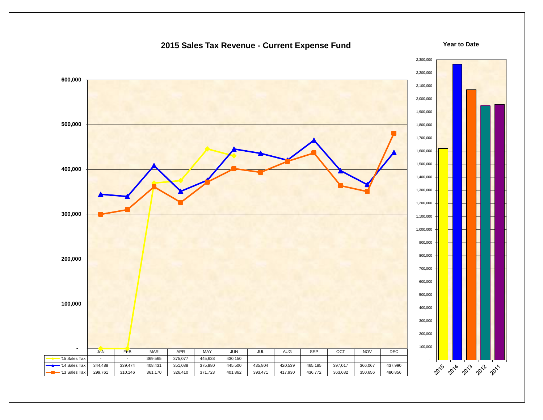

#### **2015 Sales Tax Revenue - Current Expense Fund**

**Year to Date**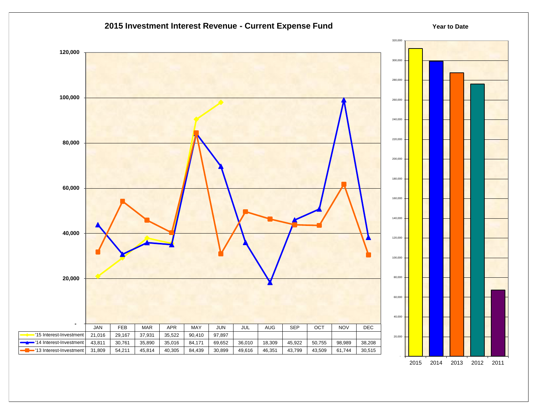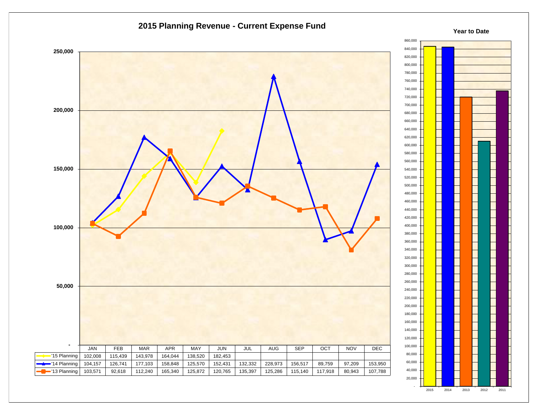

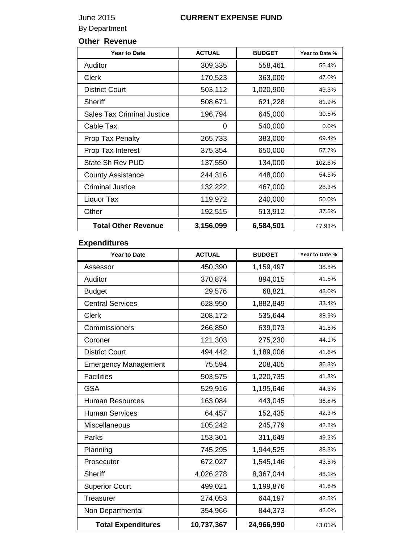## June 2015 **CURRENT EXPENSE FUND**

By Department

## **Other Revenue**

| <b>Year to Date</b>               | <b>ACTUAL</b> | <b>BUDGET</b> | Year to Date % |
|-----------------------------------|---------------|---------------|----------------|
| Auditor                           | 309,335       | 558,461       | 55.4%          |
| Clerk                             | 170,523       | 363,000       | 47.0%          |
| <b>District Court</b>             | 503,112       | 1,020,900     | 49.3%          |
| <b>Sheriff</b>                    | 508,671       | 621,228       | 81.9%          |
| <b>Sales Tax Criminal Justice</b> | 196,794       | 645,000       | 30.5%          |
| Cable Tax                         | 0             | 540,000       | $0.0\%$        |
| <b>Prop Tax Penalty</b>           | 265,733       | 383,000       | 69.4%          |
| Prop Tax Interest                 | 375,354       | 650,000       | 57.7%          |
| State Sh Rev PUD                  | 137,550       | 134,000       | 102.6%         |
| <b>County Assistance</b>          | 244,316       | 448,000       | 54.5%          |
| <b>Criminal Justice</b>           | 132,222       | 467,000       | 28.3%          |
| Liquor Tax                        | 119,972       | 240,000       | 50.0%          |
| Other                             | 192,515       | 513,912       | 37.5%          |
| <b>Total Other Revenue</b>        | 3,156,099     | 6,584,501     | 47.93%         |

### **Expenditures**

| <b>Year to Date</b>         | <b>ACTUAL</b> | <b>BUDGET</b> | Year to Date % |
|-----------------------------|---------------|---------------|----------------|
| Assessor                    | 450,390       | 1,159,497     | 38.8%          |
| Auditor                     | 370,874       | 894,015       | 41.5%          |
| <b>Budget</b>               | 29,576        | 68,821        | 43.0%          |
| <b>Central Services</b>     | 628,950       | 1,882,849     | 33.4%          |
| <b>Clerk</b>                | 208,172       | 535,644       | 38.9%          |
| Commissioners               | 266,850       | 639,073       | 41.8%          |
| Coroner                     | 121,303       | 275,230       | 44.1%          |
| <b>District Court</b>       | 494,442       | 1,189,006     | 41.6%          |
| <b>Emergency Management</b> | 75,594        | 208,405       | 36.3%          |
| <b>Facilities</b>           | 503,575       | 1,220,735     | 41.3%          |
| <b>GSA</b>                  | 529,916       | 1,195,646     | 44.3%          |
| <b>Human Resources</b>      | 163,084       | 443,045       | 36.8%          |
| <b>Human Services</b>       | 64,457        | 152,435       | 42.3%          |
| Miscellaneous               | 105,242       | 245,779       | 42.8%          |
| Parks                       | 153,301       | 311,649       | 49.2%          |
| Planning                    | 745,295       | 1,944,525     | 38.3%          |
| Prosecutor                  | 672,027       | 1,545,146     | 43.5%          |
| <b>Sheriff</b>              | 4,026,278     | 8,367,044     | 48.1%          |
| <b>Superior Court</b>       | 499,021       | 1,199,876     | 41.6%          |
| <b>Treasurer</b>            | 274,053       | 644,197       | 42.5%          |
| Non Departmental            | 354,966       | 844,373       | 42.0%          |
| <b>Total Expenditures</b>   | 10,737,367    | 24,966,990    | 43.01%         |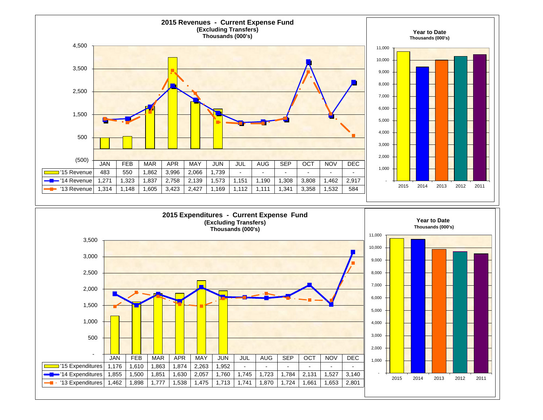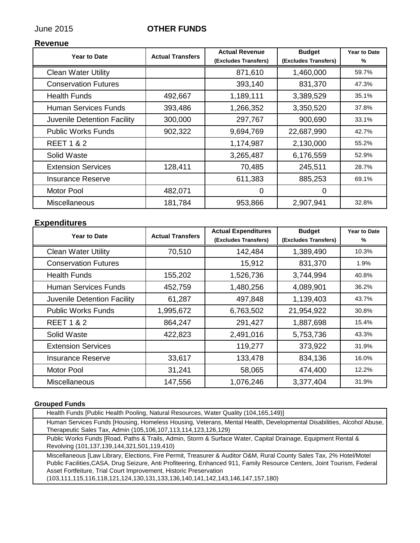## June 2015 **OTHER FUNDS**

#### **Revenue**

| <b>Year to Date</b>         | <b>Actual Transfers</b> | <b>Actual Revenue</b><br>(Excludes Transfers) | <b>Budget</b><br>(Excludes Transfers) | <b>Year to Date</b><br>% |
|-----------------------------|-------------------------|-----------------------------------------------|---------------------------------------|--------------------------|
| <b>Clean Water Utility</b>  |                         | 871,610                                       | 1,460,000                             | 59.7%                    |
| <b>Conservation Futures</b> |                         | 393,140                                       | 831,370                               | 47.3%                    |
| <b>Health Funds</b>         | 492,667                 | 1,189,111                                     | 3,389,529                             | 35.1%                    |
| Human Services Funds        | 393,486                 | 1,266,352                                     | 3,350,520                             | 37.8%                    |
| Juvenile Detention Facility | 300,000                 | 297,767                                       | 900,690                               | 33.1%                    |
| <b>Public Works Funds</b>   | 902,322                 | 9,694,769                                     | 22,687,990                            | 42.7%                    |
| <b>REET 1 &amp; 2</b>       |                         | 1,174,987                                     | 2,130,000                             | 55.2%                    |
| Solid Waste                 |                         | 3,265,487                                     | 6,176,559                             | 52.9%                    |
| <b>Extension Services</b>   | 128,411                 | 70,485                                        | 245,511                               | 28.7%                    |
| <b>Insurance Reserve</b>    |                         | 611,383                                       | 885,253                               | 69.1%                    |
| <b>Motor Pool</b>           | 482,071                 | 0                                             | 0                                     |                          |
| Miscellaneous               | 181,784                 | 953,866                                       | 2,907,941                             | 32.8%                    |

### **Expenditures**

| <b>Year to Date</b>         | <b>Actual Transfers</b> | <b>Actual Expenditures</b><br>(Excludes Transfers) | <b>Budget</b><br>(Excludes Transfers) | <b>Year to Date</b><br>% |
|-----------------------------|-------------------------|----------------------------------------------------|---------------------------------------|--------------------------|
| <b>Clean Water Utility</b>  | 70,510                  | 142,484                                            | 1,389,490                             | 10.3%                    |
| <b>Conservation Futures</b> |                         | 15,912                                             | 831,370                               | 1.9%                     |
| <b>Health Funds</b>         | 155,202                 | 1,526,736                                          | 3,744,994                             | 40.8%                    |
| <b>Human Services Funds</b> | 452,759                 | 1,480,256                                          | 4,089,901                             | 36.2%                    |
| Juvenile Detention Facility | 61,287                  | 497,848                                            | 1,139,403                             | 43.7%                    |
| <b>Public Works Funds</b>   | 1,995,672               | 6,763,502                                          | 21,954,922                            | 30.8%                    |
| <b>REET 1 &amp; 2</b>       | 864,247                 | 291,427                                            | 1,887,698                             | 15.4%                    |
| Solid Waste                 | 422,823                 | 2,491,016                                          | 5,753,736                             | 43.3%                    |
| <b>Extension Services</b>   |                         | 119,277                                            | 373,922                               | 31.9%                    |
| <b>Insurance Reserve</b>    | 33,617                  | 133,478                                            | 834,136                               | 16.0%                    |
| <b>Motor Pool</b>           | 31,241                  | 58,065                                             | 474,400                               | 12.2%                    |
| Miscellaneous               | 147,556                 | 1,076,246                                          | 3,377,404                             | 31.9%                    |

#### **Grouped Funds**

| Health Funds [Public Health Pooling, Natural Resources, Water Quality (104,165,149)]                                                                                                                                                                                                                                                                                                                                     |
|--------------------------------------------------------------------------------------------------------------------------------------------------------------------------------------------------------------------------------------------------------------------------------------------------------------------------------------------------------------------------------------------------------------------------|
| Human Services Funds [Housing, Homeless Housing, Veterans, Mental Health, Developmental Disabilities, Alcohol Abuse,<br>Therapeutic Sales Tax, Admin (105,106,107,113,114,123,126,129)                                                                                                                                                                                                                                   |
| Public Works Funds [Road, Paths & Trails, Admin, Storm & Surface Water, Capital Drainage, Equipment Rental &<br>Revolving (101,137,139,144,321,501,119,410)                                                                                                                                                                                                                                                              |
| Miscellaneous [Law Library, Elections, Fire Permit, Treasurer & Auditor O&M, Rural County Sales Tax, 2% Hotel/Motel<br>Public Facilities, CASA, Drug Seizure, Anti Profiteering, Enhanced 911, Family Resource Centers, Joint Tourism, Federal<br>Asset Fortfeiture, Trial Court Improvement, Historic Preservation<br>$(103, 111, 115, 116, 118, 121, 124, 130, 131, 133, 136, 140, 141, 142, 143, 146, 147, 157, 180)$ |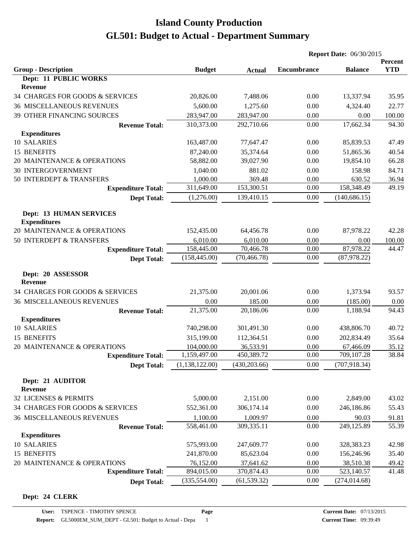|                                                       |                |               | <b>Report Date: 06/30/2015</b> |                |                       |
|-------------------------------------------------------|----------------|---------------|--------------------------------|----------------|-----------------------|
| <b>Group - Description</b>                            | <b>Budget</b>  | <b>Actual</b> | <b>Encumbrance</b>             | <b>Balance</b> | Percent<br><b>YTD</b> |
| Dept: 11 PUBLIC WORKS                                 |                |               |                                |                |                       |
| <b>Revenue</b>                                        |                |               |                                |                |                       |
| 34 CHARGES FOR GOODS & SERVICES                       | 20,826.00      | 7,488.06      | 0.00                           | 13,337.94      | 35.95                 |
| <b>36 MISCELLANEOUS REVENUES</b>                      | 5,600.00       | 1,275.60      | 0.00                           | 4,324.40       | 22.77                 |
| 39 OTHER FINANCING SOURCES                            | 283,947.00     | 283,947.00    | 0.00                           | 0.00           | 100.00                |
| <b>Revenue Total:</b>                                 | 310,373.00     | 292,710.66    | 0.00                           | 17,662.34      | 94.30                 |
| <b>Expenditures</b>                                   |                |               |                                |                |                       |
| 10 SALARIES                                           | 163,487.00     | 77,647.47     | 0.00                           | 85,839.53      | 47.49                 |
| 15 BENEFITS                                           | 87,240.00      | 35,374.64     | 0.00                           | 51,865.36      | 40.54                 |
| 20 MAINTENANCE & OPERATIONS                           | 58,882.00      | 39,027.90     | 0.00                           | 19,854.10      | 66.28                 |
| <b>30 INTERGOVERNMENT</b>                             | 1,040.00       | 881.02        | 0.00                           | 158.98         | 84.71                 |
| 50 INTERDEPT & TRANSFERS                              | 1,000.00       | 369.48        | 0.00                           | 630.52         | 36.94                 |
| <b>Expenditure Total:</b>                             | 311,649.00     | 153,300.51    | 0.00                           | 158,348.49     | 49.19                 |
| <b>Dept Total:</b>                                    | (1,276.00)     | 139,410.15    | 0.00                           | (140, 686.15)  |                       |
| <b>Dept: 13 HUMAN SERVICES</b><br><b>Expenditures</b> |                |               |                                |                |                       |
| 20 MAINTENANCE & OPERATIONS                           | 152,435.00     | 64,456.78     | 0.00                           | 87,978.22      | 42.28                 |
| 50 INTERDEPT & TRANSFERS                              | 6,010.00       | 6,010.00      | 0.00                           | 0.00           | 100.00                |
| <b>Expenditure Total:</b>                             | 158,445.00     | 70,466.78     | 0.00                           | 87,978.22      | 44.47                 |
| <b>Dept Total:</b>                                    | (158, 445.00)  | (70, 466.78)  | 0.00                           | (87, 978.22)   |                       |
| Dept: 20 ASSESSOR<br><b>Revenue</b>                   |                |               |                                |                |                       |
| 34 CHARGES FOR GOODS & SERVICES                       | 21,375.00      | 20,001.06     | 0.00                           | 1,373.94       | 93.57                 |
| <b>36 MISCELLANEOUS REVENUES</b>                      | 0.00           | 185.00        | 0.00                           | (185.00)       | 0.00                  |
| <b>Revenue Total:</b>                                 | 21,375.00      | 20,186.06     | 0.00                           | 1,188.94       | 94.43                 |
| <b>Expenditures</b>                                   |                |               |                                |                |                       |
| 10 SALARIES                                           | 740,298.00     | 301,491.30    | 0.00                           | 438,806.70     | 40.72                 |
| 15 BENEFITS                                           | 315,199.00     | 112,364.51    | 0.00                           | 202,834.49     | 35.64                 |
| 20 MAINTENANCE & OPERATIONS                           | 104,000.00     | 36,533.91     | 0.00                           | 67,466.09      | 35.12                 |
| <b>Expenditure Total:</b>                             | 1,159,497.00   | 450,389.72    | 0.00                           | 709,107.28     | 38.84                 |
| <b>Dept Total:</b>                                    | (1,138,122.00) | (430, 203.66) | 0.00                           | (707, 918.34)  |                       |
| Dept: 21 AUDITOR<br><b>Revenue</b>                    |                |               |                                |                |                       |
| 32 LICENSES & PERMITS                                 | 5,000.00       | 2,151.00      | 0.00                           | 2,849.00       | 43.02                 |
| 34 CHARGES FOR GOODS & SERVICES                       | 552,361.00     | 306,174.14    | 0.00                           | 246,186.86     | 55.43                 |
| <b>36 MISCELLANEOUS REVENUES</b>                      | 1,100.00       | 1,009.97      | 0.00                           | 90.03          | 91.81                 |
| <b>Revenue Total:</b>                                 | 558,461.00     | 309,335.11    | 0.00                           | 249,125.89     | 55.39                 |
| <b>Expenditures</b>                                   |                |               |                                |                |                       |
| 10 SALARIES                                           | 575,993.00     | 247,609.77    | 0.00                           | 328,383.23     | 42.98                 |
| 15 BENEFITS                                           | 241,870.00     | 85,623.04     | 0.00                           | 156,246.96     | 35.40                 |
| 20 MAINTENANCE & OPERATIONS                           | 76,152.00      | 37,641.62     | 0.00                           | 38,510.38      | 49.42                 |
| <b>Expenditure Total:</b>                             | 894,015.00     | 370,874.43    | 0.00                           | 523,140.57     | 41.48                 |
| <b>Dept Total:</b>                                    | (335, 554.00)  | (61, 539.32)  | 0.00                           | (274, 014.68)  |                       |

#### **Dept: 24 CLERK**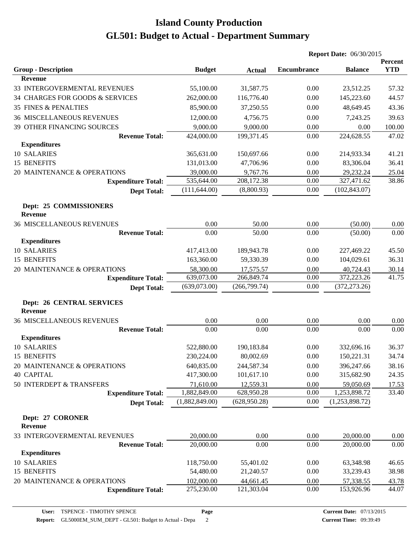|                                                    |                |               | <b>Report Date: 06/30/2015</b> |                |                       |
|----------------------------------------------------|----------------|---------------|--------------------------------|----------------|-----------------------|
| <b>Group - Description</b>                         | <b>Budget</b>  | <b>Actual</b> | <b>Encumbrance</b>             | <b>Balance</b> | Percent<br><b>YTD</b> |
| Revenue                                            |                |               |                                |                |                       |
| 33 INTERGOVERMENTAL REVENUES                       | 55,100.00      | 31,587.75     | 0.00                           | 23,512.25      | 57.32                 |
| 34 CHARGES FOR GOODS & SERVICES                    | 262,000.00     | 116,776.40    | 0.00                           | 145,223.60     | 44.57                 |
| <b>35 FINES &amp; PENALTIES</b>                    | 85,900.00      | 37,250.55     | 0.00                           | 48,649.45      | 43.36                 |
| <b>36 MISCELLANEOUS REVENUES</b>                   | 12,000.00      | 4,756.75      | 0.00                           | 7,243.25       | 39.63                 |
| 39 OTHER FINANCING SOURCES                         | 9,000.00       | 9,000.00      | 0.00                           | 0.00           | 100.00                |
| <b>Revenue Total:</b>                              | 424,000.00     | 199,371.45    | 0.00                           | 224,628.55     | 47.02                 |
| <b>Expenditures</b>                                |                |               |                                |                |                       |
| 10 SALARIES                                        | 365,631.00     | 150,697.66    | 0.00                           | 214,933.34     | 41.21                 |
| 15 BENEFITS                                        | 131,013.00     | 47,706.96     | 0.00                           | 83,306.04      | 36.41                 |
| 20 MAINTENANCE & OPERATIONS                        | 39,000.00      | 9,767.76      | 0.00                           | 29,232.24      | 25.04                 |
| <b>Expenditure Total:</b>                          | 535,644.00     | 208,172.38    | 0.00                           | 327,471.62     | 38.86                 |
| <b>Dept Total:</b>                                 | (111, 644.00)  | (8,800.93)    | 0.00                           | (102, 843.07)  |                       |
| Dept: 25 COMMISSIONERS<br>Revenue                  |                |               |                                |                |                       |
| <b>36 MISCELLANEOUS REVENUES</b>                   | 0.00           | 50.00         | 0.00                           | (50.00)        | 0.00                  |
| <b>Revenue Total:</b>                              | 0.00           | 50.00         | 0.00                           | (50.00)        | 0.00                  |
| <b>Expenditures</b>                                |                |               |                                |                |                       |
| 10 SALARIES                                        | 417,413.00     | 189,943.78    | 0.00                           | 227,469.22     | 45.50                 |
| 15 BENEFITS                                        | 163,360.00     | 59,330.39     | 0.00                           | 104,029.61     | 36.31                 |
| 20 MAINTENANCE & OPERATIONS                        | 58,300.00      | 17,575.57     | 0.00                           | 40,724.43      | 30.14                 |
| <b>Expenditure Total:</b>                          | 639,073.00     | 266,849.74    | 0.00                           | 372,223.26     | 41.75                 |
| <b>Dept Total:</b>                                 | (639,073.00)   | (266, 799.74) | 0.00                           | (372, 273.26)  |                       |
| <b>Dept: 26 CENTRAL SERVICES</b><br><b>Revenue</b> |                |               |                                |                |                       |
| <b>36 MISCELLANEOUS REVENUES</b>                   | 0.00           | 0.00          | 0.00                           | 0.00           | 0.00                  |
| <b>Revenue Total:</b>                              | 0.00           | 0.00          | 0.00                           | 0.00           | 0.00                  |
| <b>Expenditures</b>                                |                |               |                                |                |                       |
| 10 SALARIES                                        | 522,880.00     | 190,183.84    | 0.00                           | 332,696.16     | 36.37                 |
| 15 BENEFITS                                        | 230,224.00     | 80,002.69     | $0.00\,$                       | 150,221.31     | 34.74                 |
| 20 MAINTENANCE & OPERATIONS                        | 640,835.00     | 244,587.34    | 0.00                           | 396,247.66     | 38.16                 |
| <b>40 CAPITAL</b>                                  | 417,300.00     | 101,617.10    | 0.00                           | 315,682.90     | 24.35                 |
| 50 INTERDEPT & TRANSFERS                           | 71,610.00      | 12,559.31     | 0.00                           | 59,050.69      | <u>17.53</u>          |
| <b>Expenditure Total:</b>                          | 1,882,849.00   | 628,950.28    | 0.00                           | 1,253,898.72   | 33.40                 |
| <b>Dept Total:</b>                                 | (1,882,849.00) | (628, 950.28) | 0.00                           | (1,253,898.72) |                       |
| Dept: 27 CORONER<br><b>Revenue</b>                 |                |               |                                |                |                       |
| 33 INTERGOVERMENTAL REVENUES                       | 20,000.00      | 0.00          | 0.00                           | 20,000.00      | 0.00                  |
| <b>Revenue Total:</b>                              | 20,000.00      | 0.00          | 0.00                           | 20,000.00      | 0.00                  |
| <b>Expenditures</b>                                |                |               |                                |                |                       |
| 10 SALARIES                                        | 118,750.00     | 55,401.02     | 0.00                           | 63,348.98      | 46.65                 |
| 15 BENEFITS                                        | 54,480.00      | 21,240.57     | 0.00                           | 33,239.43      | 38.98                 |
| 20 MAINTENANCE & OPERATIONS                        | 102,000.00     | 44,661.45     | 0.00                           | 57,338.55      | 43.78                 |
| <b>Expenditure Total:</b>                          | 275,230.00     | 121,303.04    | 0.00                           | 153,926.96     | 44.07                 |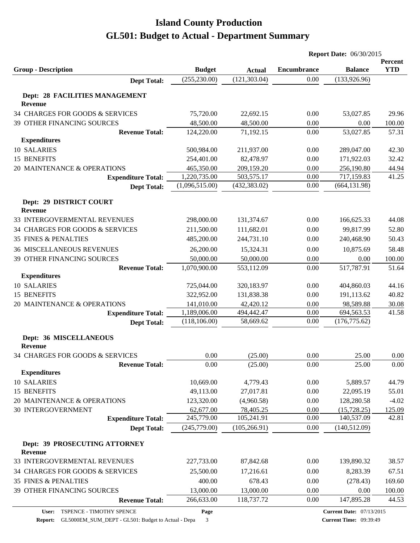|                                                  |                |               | <b>Report Date: 06/30/2015</b> |                |                       |
|--------------------------------------------------|----------------|---------------|--------------------------------|----------------|-----------------------|
| <b>Group - Description</b>                       | <b>Budget</b>  | <b>Actual</b> | <b>Encumbrance</b>             | <b>Balance</b> | Percent<br><b>YTD</b> |
| <b>Dept Total:</b>                               | (255, 230.00)  | (121, 303.04) | 0.00                           | (133, 926.96)  |                       |
|                                                  |                |               |                                |                |                       |
| Dept: 28 FACILITIES MANAGEMENT<br><b>Revenue</b> |                |               |                                |                |                       |
| 34 CHARGES FOR GOODS & SERVICES                  | 75,720.00      | 22,692.15     | 0.00                           | 53,027.85      | 29.96                 |
| <b>39 OTHER FINANCING SOURCES</b>                | 48,500.00      | 48,500.00     | 0.00                           | 0.00           | 100.00                |
| <b>Revenue Total:</b>                            | 124,220.00     | 71,192.15     | 0.00                           | 53,027.85      | 57.31                 |
| <b>Expenditures</b>                              |                |               |                                |                |                       |
| 10 SALARIES                                      | 500,984.00     | 211,937.00    | 0.00                           | 289,047.00     | 42.30                 |
| 15 BENEFITS                                      | 254,401.00     | 82,478.97     | 0.00                           | 171,922.03     | 32.42                 |
| 20 MAINTENANCE & OPERATIONS                      | 465,350.00     | 209,159.20    | 0.00                           | 256,190.80     | 44.94                 |
| <b>Expenditure Total:</b>                        | 1,220,735.00   | 503,575.17    | 0.00                           | 717,159.83     | 41.25                 |
| <b>Dept Total:</b>                               | (1,096,515.00) | (432, 383.02) | 0.00                           | (664, 131.98)  |                       |
| Dept: 29 DISTRICT COURT                          |                |               |                                |                |                       |
| Revenue                                          |                |               |                                |                |                       |
| 33 INTERGOVERMENTAL REVENUES                     | 298,000.00     | 131,374.67    | 0.00                           | 166,625.33     | 44.08                 |
| 34 CHARGES FOR GOODS & SERVICES                  | 211,500.00     | 111,682.01    | 0.00                           | 99,817.99      | 52.80                 |
| <b>35 FINES &amp; PENALTIES</b>                  | 485,200.00     | 244,731.10    | 0.00                           | 240,468.90     | 50.43                 |
| <b>36 MISCELLANEOUS REVENUES</b>                 | 26,200.00      | 15,324.31     | 0.00                           | 10,875.69      | 58.48                 |
| 39 OTHER FINANCING SOURCES                       | 50,000.00      | 50,000.00     | 0.00                           | 0.00           | 100.00                |
| <b>Revenue Total:</b>                            | 1,070,900.00   | 553,112.09    | 0.00                           | 517,787.91     | 51.64                 |
| <b>Expenditures</b>                              |                |               |                                |                |                       |
| 10 SALARIES                                      | 725,044.00     | 320,183.97    | 0.00                           | 404,860.03     | 44.16                 |
| 15 BENEFITS                                      | 322,952.00     | 131,838.38    | 0.00                           | 191,113.62     | 40.82                 |
| 20 MAINTENANCE & OPERATIONS                      | 141,010.00     | 42,420.12     | 0.00                           | 98,589.88      | 30.08                 |
| <b>Expenditure Total:</b>                        | 1,189,006.00   | 494,442.47    | 0.00                           | 694,563.53     | 41.58                 |
| <b>Dept Total:</b>                               | (118, 106.00)  | 58,669.62     | 0.00                           | (176, 775.62)  |                       |
|                                                  |                |               |                                |                |                       |
| Dept: 36 MISCELLANEOUS<br>Revenue                |                |               |                                |                |                       |
| 34 CHARGES FOR GOODS & SERVICES                  | 0.00           | (25.00)       | 0.00                           | 25.00          | 0.00                  |
| <b>Revenue Total:</b>                            | 0.00           | (25.00)       | 0.00                           | 25.00          | 0.00                  |
| <b>Expenditures</b>                              |                |               |                                |                |                       |
| 10 SALARIES                                      | 10,669.00      | 4,779.43      | 0.00                           | 5,889.57       | 44.79                 |
| <b>15 BENEFITS</b>                               | 49,113.00      | 27,017.81     | 0.00                           | 22,095.19      | 55.01                 |
| 20 MAINTENANCE & OPERATIONS                      | 123,320.00     | (4,960.58)    | 0.00                           | 128,280.58     | $-4.02$               |
| <b>30 INTERGOVERNMENT</b>                        | 62,677.00      | 78,405.25     | 0.00                           | (15,728.25)    | 125.09                |
| <b>Expenditure Total:</b>                        | 245,779.00     | 105,241.91    | 0.00                           | 140,537.09     | 42.81                 |
| <b>Dept Total:</b>                               | (245,779.00)   | (105, 266.91) | 0.00                           | (140, 512.09)  |                       |
| Dept: 39 PROSECUTING ATTORNEY<br>Revenue         |                |               |                                |                |                       |
| 33 INTERGOVERMENTAL REVENUES                     | 227,733.00     | 87,842.68     | 0.00                           | 139,890.32     | 38.57                 |
| 34 CHARGES FOR GOODS & SERVICES                  | 25,500.00      | 17,216.61     | 0.00                           | 8,283.39       | 67.51                 |
| <b>35 FINES &amp; PENALTIES</b>                  | 400.00         | 678.43        | 0.00                           | (278.43)       | 169.60                |
| 39 OTHER FINANCING SOURCES                       | 13,000.00      | 13,000.00     | 0.00                           | 0.00           | 100.00                |
| <b>Revenue Total:</b>                            | 266,633.00     | 118,737.72    | 0.00                           | 147,895.28     | 44.53                 |
|                                                  |                |               |                                |                |                       |

**Page**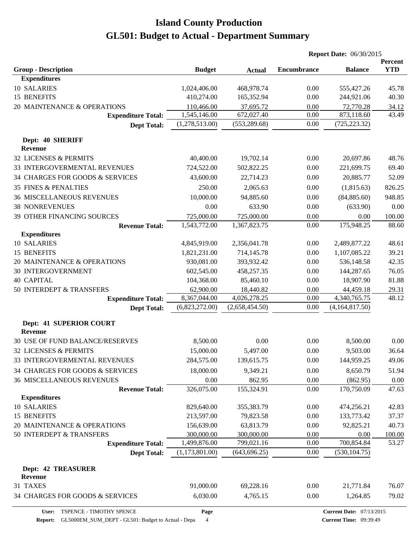|                                              |                |                | <b>Report Date: 06/30/2015</b> |                |                       |
|----------------------------------------------|----------------|----------------|--------------------------------|----------------|-----------------------|
| <b>Group - Description</b>                   | <b>Budget</b>  | <b>Actual</b>  | <b>Encumbrance</b>             | <b>Balance</b> | Percent<br><b>YTD</b> |
| <b>Expenditures</b>                          |                |                |                                |                |                       |
| 10 SALARIES                                  | 1,024,406.00   | 468,978.74     | 0.00                           | 555,427.26     | 45.78                 |
| 15 BENEFITS                                  | 410,274.00     | 165,352.94     | 0.00                           | 244,921.06     | 40.30                 |
| 20 MAINTENANCE & OPERATIONS                  | 110,466.00     | 37,695.72      | 0.00                           | 72,770.28      | 34.12                 |
| <b>Expenditure Total:</b>                    | 1,545,146.00   | 672,027.40     | 0.00                           | 873,118.60     | 43.49                 |
| <b>Dept Total:</b>                           | (1,278,513.00) | (553, 289.68)  | 0.00                           | (725, 223.32)  |                       |
| Dept: 40 SHERIFF<br><b>Revenue</b>           |                |                |                                |                |                       |
| 32 LICENSES & PERMITS                        | 40,400.00      | 19,702.14      | 0.00                           | 20,697.86      | 48.76                 |
| 33 INTERGOVERMENTAL REVENUES                 | 724,522.00     | 502,822.25     | 0.00                           | 221,699.75     | 69.40                 |
| 34 CHARGES FOR GOODS & SERVICES              | 43,600.00      | 22,714.23      | 0.00                           | 20,885.77      | 52.09                 |
|                                              |                |                |                                |                |                       |
| <b>35 FINES &amp; PENALTIES</b>              | 250.00         | 2,065.63       | 0.00                           | (1,815.63)     | 826.25                |
| <b>36 MISCELLANEOUS REVENUES</b>             | 10,000.00      | 94,885.60      | 0.00                           | (84, 885.60)   | 948.85                |
| <b>38 NONREVENUES</b>                        | 0.00           | 633.90         | 0.00                           | (633.90)       | $0.00\,$              |
| 39 OTHER FINANCING SOURCES                   | 725,000.00     | 725,000.00     | 0.00                           | 0.00           | 100.00                |
| <b>Revenue Total:</b><br><b>Expenditures</b> | 1,543,772.00   | 1,367,823.75   | 0.00                           | 175,948.25     | 88.60                 |
| 10 SALARIES                                  | 4,845,919.00   | 2,356,041.78   | 0.00                           | 2,489,877.22   | 48.61                 |
| <b>15 BENEFITS</b>                           | 1,821,231.00   | 714,145.78     | 0.00                           | 1,107,085.22   | 39.21                 |
| 20 MAINTENANCE & OPERATIONS                  | 930,081.00     | 393,932.42     | 0.00                           | 536,148.58     | 42.35                 |
| <b>30 INTERGOVERNMENT</b>                    | 602,545.00     | 458,257.35     | 0.00                           | 144,287.65     | 76.05                 |
| <b>40 CAPITAL</b>                            | 104,368.00     | 85,460.10      | 0.00                           | 18,907.90      | 81.88                 |
| 50 INTERDEPT & TRANSFERS                     | 62,900.00      | 18,440.82      | 0.00                           | 44,459.18      | 29.31                 |
| <b>Expenditure Total:</b>                    | 8,367,044.00   | 4,026,278.25   | 0.00                           | 4,340,765.75   | 48.12                 |
| <b>Dept Total:</b>                           | (6,823,272.00) | (2,658,454.50) | 0.00                           | (4,164,817.50) |                       |
| Dept: 41 SUPERIOR COURT<br><b>Revenue</b>    |                |                |                                |                |                       |
| 30 USE OF FUND BALANCE/RESERVES              | 8,500.00       | 0.00           | 0.00                           | 8,500.00       | 0.00                  |
| 32 LICENSES & PERMITS                        | 15,000.00      | 5,497.00       | 0.00                           | 9,503.00       | 36.64                 |
| 33 INTERGOVERMENTAL REVENUES                 | 284,575.00     | 139,615.75     | $0.00\,$                       | 144,959.25     | 49.06                 |
| 34 CHARGES FOR GOODS & SERVICES              | 18,000.00      | 9,349.21       | 0.00                           | 8,650.79       | 51.94                 |
| <b>36 MISCELLANEOUS REVENUES</b>             | 0.00           | 862.95         | 0.00                           | (862.95)       | 0.00                  |
| <b>Revenue Total:</b>                        | 326,075.00     | 155,324.91     | 0.00                           | 170,750.09     | 47.63                 |
| <b>Expenditures</b>                          |                |                |                                |                |                       |
| 10 SALARIES                                  | 829,640.00     | 355,383.79     | 0.00                           | 474,256.21     | 42.83                 |
| 15 BENEFITS                                  | 213,597.00     | 79,823.58      | 0.00                           | 133,773.42     | 37.37                 |
| 20 MAINTENANCE & OPERATIONS                  | 156,639.00     | 63,813.79      | 0.00                           | 92,825.21      | 40.73                 |
| 50 INTERDEPT & TRANSFERS                     | 300,000.00     | 300,000.00     | 0.00                           | 0.00           | 100.00                |
| <b>Expenditure Total:</b>                    | 1,499,876.00   | 799,021.16     | 0.00                           | 700,854.84     | 53.27                 |
| <b>Dept Total:</b>                           | (1,173,801.00) | (643, 696.25)  | 0.00                           | (530, 104.75)  |                       |
| <b>Dept: 42 TREASURER</b><br><b>Revenue</b>  |                |                |                                |                |                       |
| 31 TAXES                                     | 91,000.00      | 69,228.16      | 0.00                           | 21,771.84      | 76.07                 |
| 34 CHARGES FOR GOODS & SERVICES              | 6,030.00       | 4,765.15       | 0.00                           | 1,264.85       | 79.02                 |

**Page**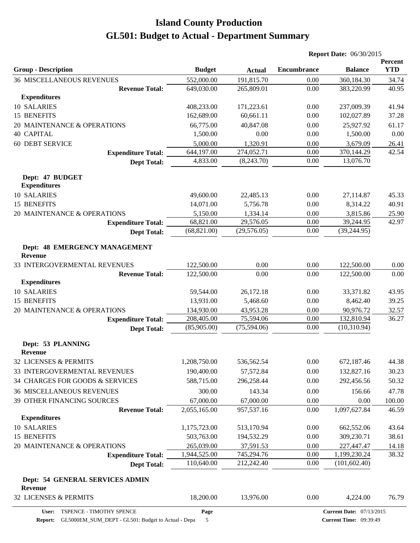|                                                 |               | <b>Report Date: 06/30/2015</b> |                    |                                 |                       |  |
|-------------------------------------------------|---------------|--------------------------------|--------------------|---------------------------------|-----------------------|--|
| <b>Group - Description</b>                      | <b>Budget</b> | <b>Actual</b>                  | <b>Encumbrance</b> | <b>Balance</b>                  | Percent<br><b>YTD</b> |  |
| <b>36 MISCELLANEOUS REVENUES</b>                | 552,000.00    | 191,815.70                     | 0.00               | 360,184.30                      | 34.74                 |  |
| <b>Revenue Total:</b>                           | 649,030.00    | 265,809.01                     | 0.00               | 383,220.99                      | 40.95                 |  |
| <b>Expenditures</b>                             |               |                                |                    |                                 |                       |  |
| 10 SALARIES                                     | 408,233.00    | 171,223.61                     | 0.00               | 237,009.39                      | 41.94                 |  |
| 15 BENEFITS                                     | 162,689.00    | 60,661.11                      | 0.00               | 102,027.89                      | 37.28                 |  |
| 20 MAINTENANCE & OPERATIONS                     | 66,775.00     | 40,847.08                      | 0.00               | 25,927.92                       | 61.17                 |  |
| <b>40 CAPITAL</b>                               | 1,500.00      | 0.00                           | 0.00               | 1,500.00                        | 0.00                  |  |
| <b>60 DEBT SERVICE</b>                          | 5,000.00      | 1,320.91                       | 0.00               | 3,679.09                        | 26.41                 |  |
| <b>Expenditure Total:</b>                       | 644,197.00    | 274,052.71                     | 0.00               | 370,144.29                      | 42.54                 |  |
| <b>Dept Total:</b>                              | 4,833.00      | (8,243.70)                     | 0.00               | 13,076.70                       |                       |  |
| Dept: 47 BUDGET<br><b>Expenditures</b>          |               |                                |                    |                                 |                       |  |
| 10 SALARIES                                     | 49,600.00     | 22,485.13                      | 0.00               | 27,114.87                       | 45.33                 |  |
| 15 BENEFITS                                     | 14,071.00     | 5,756.78                       | 0.00               | 8,314.22                        | 40.91                 |  |
| 20 MAINTENANCE & OPERATIONS                     | 5,150.00      | 1,334.14                       | 0.00               | 3,815.86                        | 25.90                 |  |
| <b>Expenditure Total:</b>                       | 68,821.00     | 29,576.05                      | 0.00               | 39,244.95                       | 42.97                 |  |
| <b>Dept Total:</b>                              | (68, 821.00)  | (29, 576.05)                   | 0.00               | (39, 244.95)                    |                       |  |
| Dept: 48 EMERGENCY MANAGEMENT<br><b>Revenue</b> |               |                                |                    |                                 |                       |  |
| 33 INTERGOVERMENTAL REVENUES                    | 122,500.00    | 0.00                           | 0.00               | 122,500.00                      | 0.00                  |  |
| <b>Revenue Total:</b>                           | 122,500.00    | 0.00                           | 0.00               | 122,500.00                      | 0.00                  |  |
| <b>Expenditures</b>                             |               |                                |                    |                                 |                       |  |
| 10 SALARIES                                     | 59,544.00     | 26,172.18                      | 0.00               | 33,371.82                       | 43.95                 |  |
| 15 BENEFITS                                     | 13,931.00     | 5,468.60                       | 0.00               | 8,462.40                        | 39.25                 |  |
| 20 MAINTENANCE & OPERATIONS                     | 134,930.00    | 43,953.28                      | 0.00               | 90,976.72                       | 32.57                 |  |
| <b>Expenditure Total:</b>                       | 208,405.00    | 75,594.06                      | 0.00               | 132,810.94                      | 36.27                 |  |
| <b>Dept Total:</b>                              | (85,905.00)   | (75,594.06)                    | 0.00               | (10,310.94)                     |                       |  |
| Dept: 53 PLANNING<br><b>Revenue</b>             |               |                                |                    |                                 |                       |  |
| 32 LICENSES & PERMITS                           | 1,208,750.00  | 536,562.54                     | 0.00               | 672,187.46                      | 44.38                 |  |
| 33 INTERGOVERMENTAL REVENUES                    | 190,400.00    | 57,572.84                      | 0.00               | 132,827.16                      | 30.23                 |  |
| 34 CHARGES FOR GOODS & SERVICES                 | 588,715.00    | 296,258.44                     | 0.00               | 292,456.56                      | 50.32                 |  |
| <b>36 MISCELLANEOUS REVENUES</b>                | 300.00        | 143.34                         | 0.00               | 156.66                          | 47.78                 |  |
| 39 OTHER FINANCING SOURCES                      | 67,000.00     | 67,000.00                      | 0.00               | 0.00                            | 100.00                |  |
| <b>Revenue Total:</b>                           | 2,055,165.00  | 957,537.16                     | 0.00               | 1,097,627.84                    | 46.59                 |  |
| <b>Expenditures</b>                             |               |                                |                    |                                 |                       |  |
| 10 SALARIES                                     | 1,175,723.00  | 513,170.94                     | 0.00               | 662,552.06                      | 43.64                 |  |
| 15 BENEFITS                                     | 503,763.00    | 194,532.29                     | 0.00               | 309,230.71                      | 38.61                 |  |
| 20 MAINTENANCE & OPERATIONS                     | 265,039.00    | 37,591.53                      | 0.00               | 227,447.47                      | 14.18                 |  |
| <b>Expenditure Total:</b>                       | 1,944,525.00  | 745,294.76                     | 0.00               | 1,199,230.24                    | 38.32                 |  |
| <b>Dept Total:</b>                              | 110,640.00    | 212,242.40                     | 0.00               | (101, 602.40)                   |                       |  |
| Dept: 54 GENERAL SERVICES ADMIN<br>Revenue      |               |                                |                    |                                 |                       |  |
| 32 LICENSES & PERMITS                           | 18,200.00     | 13,976.00                      | 0.00               | 4,224.00                        | 76.79                 |  |
| TSPENCE - TIMOTHY SPENCE<br>User:               | Page          |                                |                    | <b>Current Date: 07/13/2015</b> |                       |  |